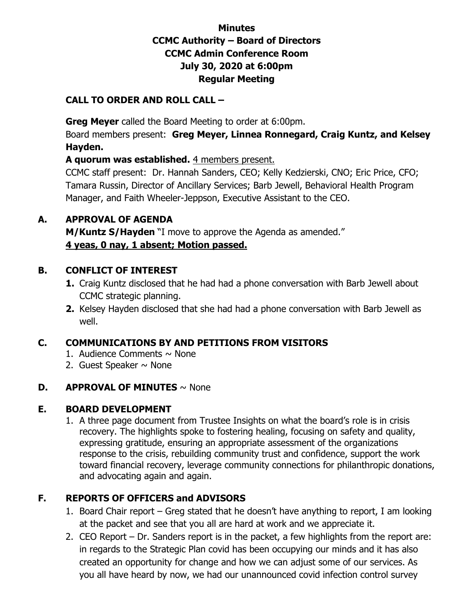# **Minutes CCMC Authority – Board of Directors CCMC Admin Conference Room July 30, 2020 at 6:00pm Regular Meeting**

#### **CALL TO ORDER AND ROLL CALL –**

 **Greg Meyer** called the Board Meeting to order at 6:00pm.

Board members present: **Greg Meyer, Linnea Ronnegard, Craig Kuntz, and Kelsey Hayden.** 

**A quorum was established.** 4 members present.

CCMC staff present: Dr. Hannah Sanders, CEO; Kelly Kedzierski, CNO; Eric Price, CFO; Tamara Russin, Director of Ancillary Services; Barb Jewell, Behavioral Health Program Manager, and Faith Wheeler-Jeppson, Executive Assistant to the CEO.

### **A. APPROVAL OF AGENDA**

**M/Kuntz S/Hayden** "I move to approve the Agenda as amended." **4 yeas, 0 nay, 1 absent; Motion passed.** 

### **B. CONFLICT OF INTEREST**

- **1.** Craig Kuntz disclosed that he had had a phone conversation with Barb Jewell about CCMC strategic planning.
- **2.** Kelsey Hayden disclosed that she had had a phone conversation with Barb Jewell as well.

# **C. COMMUNICATIONS BY AND PETITIONS FROM VISITORS**

- 1. Audience Comments  $\sim$  None
- 2. Guest Speaker  $\sim$  None

# **D. APPROVAL OF MINUTES** ~ None

# **E. BOARD DEVELOPMENT**

1. A three page document from Trustee Insights on what the board's role is in crisis recovery. The highlights spoke to fostering healing, focusing on safety and quality, expressing gratitude, ensuring an appropriate assessment of the organizations response to the crisis, rebuilding community trust and confidence, support the work toward financial recovery, leverage community connections for philanthropic donations, and advocating again and again.

# **F. REPORTS OF OFFICERS and ADVISORS**

- 1. Board Chair report Greg stated that he doesn't have anything to report, I am looking at the packet and see that you all are hard at work and we appreciate it.
- 2. CEO Report Dr. Sanders report is in the packet, a few highlights from the report are: in regards to the Strategic Plan covid has been occupying our minds and it has also created an opportunity for change and how we can adjust some of our services. As you all have heard by now, we had our unannounced covid infection control survey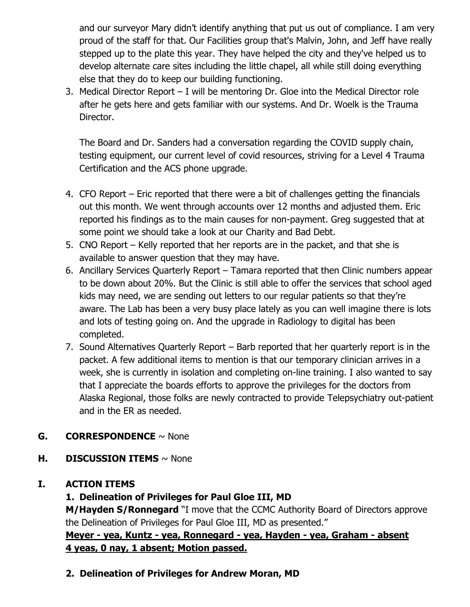and our surveyor Mary didn't identify anything that put us out of compliance. I am very proud of the staff for that. Our Facilities group that's Malvin, John, and Jeff have really stepped up to the plate this year. They have helped the city and they've helped us to develop alternate care sites including the little chapel, all while still doing everything else that they do to keep our building functioning.

3. Medical Director Report – I will be mentoring Dr. Gloe into the Medical Director role after he gets here and gets familiar with our systems. And Dr. Woelk is the Trauma Director.

The Board and Dr. Sanders had a conversation regarding the COVID supply chain, testing equipment, our current level of covid resources, striving for a Level 4 Trauma Certification and the ACS phone upgrade.

- 4. CFO Report Eric reported that there were a bit of challenges getting the financials out this month. We went through accounts over 12 months and adjusted them. Eric reported his findings as to the main causes for non-payment. Greg suggested that at some point we should take a look at our Charity and Bad Debt.
- 5. CNO Report Kelly reported that her reports are in the packet, and that she is available to answer question that they may have.
- 6. Ancillary Services Quarterly Report Tamara reported that then Clinic numbers appear to be down about 20%. But the Clinic is still able to offer the services that school aged kids may need, we are sending out letters to our regular patients so that they're aware. The Lab has been a very busy place lately as you can well imagine there is lots and lots of testing going on. And the upgrade in Radiology to digital has been completed.
- 7. Sound Alternatives Quarterly Report Barb reported that her quarterly report is in the packet. A few additional items to mention is that our temporary clinician arrives in a week, she is currently in isolation and completing on-line training. I also wanted to say that I appreciate the boards efforts to approve the privileges for the doctors from Alaska Regional, those folks are newly contracted to provide Telepsychiatry out-patient and in the ER as needed.

# **G. CORRESPONDENCE** ~ None

**H. DISCUSSION ITEMS** ~ None

# **I. ACTION ITEMS**

# **1. Delineation of Privileges for Paul Gloe III, MD**

**M/Hayden S/Ronnegard** "I move that the CCMC Authority Board of Directors approve the Delineation of Privileges for Paul Gloe III, MD as presented."

**Meyer - yea, Kuntz - yea, Ronnegard - yea, Hayden - yea, Graham - absent 4 yeas, 0 nay, 1 absent; Motion passed.** 

**2. Delineation of Privileges for Andrew Moran, MD**